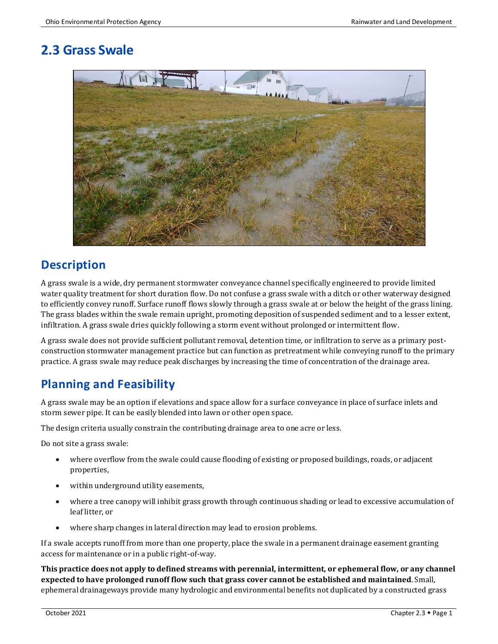# **2.3 Grass Swale**



### **Description**

A grass swale is a wide, dry permanent stormwater conveyance channel specifically engineered to provide limited water quality treatment for short duration flow. Do not confuse a grass swale with a ditch or other waterway designed to efficiently convey runoff. Surface runoff flows slowly through a grass swale at or below the height of the grass lining. The grass blades within the swale remain upright, promoting deposition of suspended sediment and to a lesser extent, infiltration. A grass swale dries quickly following a storm event without prolonged or intermittent flow.

A grass swale does not provide sufficient pollutant removal, detention time, or infiltration to serve as a primary postconstruction stormwater management practice but can function as pretreatment while conveying runoff to the primary practice. A grass swale may reduce peak discharges by increasing the time of concentration of the drainage area.

### **Planning and Feasibility**

A grass swale may be an option if elevations and space allow for a surface conveyance in place of surface inlets and storm sewer pipe. It can be easily blended into lawn or other open space.

The design criteria usually constrain the contributing drainage area to one acre or less.

Do not site a grass swale:

- where overflow from the swale could cause flooding of existing or proposed buildings, roads, or adjacent properties,
- within underground utility easements,
- where a tree canopy will inhibit grass growth through continuous shading or lead to excessive accumulation of leaf litter, or
- where sharp changes in lateral direction may lead to erosion problems.

If a swale accepts runoff from more than one property, place the swale in a permanent drainage easement granting access for maintenance or in a public right-of-way.

**This practice does not apply to defined streams with perennial, intermittent, or ephemeral flow, or any channel expected to have prolonged runoff flow such that grass cover cannot be established and maintained**. Small, ephemeral drainageways provide many hydrologic and environmental benefits not duplicated by a constructed grass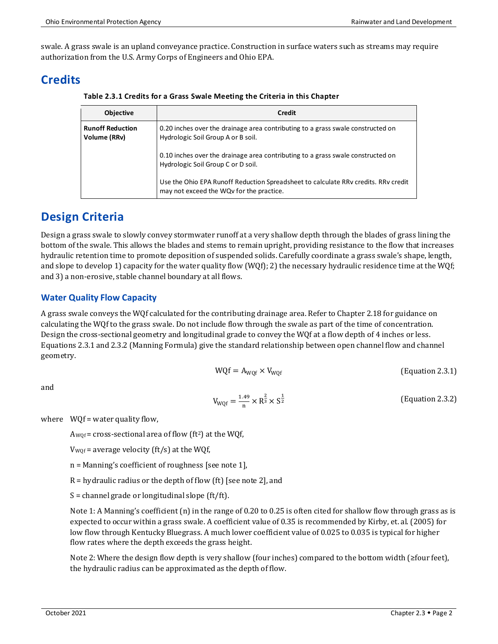swale. A grass swale is an upland conveyance practice. Construction in surface waters such as streams may require authorization from the U.S. Army Corps of Engineers and Ohio EPA.

## **Credits**

**Table 2.3.1 Credits for a Grass Swale Meeting the Criteria in this Chapter**

| <b>Objective</b>                        | Credit                                                                                                                         |
|-----------------------------------------|--------------------------------------------------------------------------------------------------------------------------------|
| <b>Runoff Reduction</b><br>Volume (RRv) | 0.20 inches over the drainage area contributing to a grass swale constructed on<br>Hydrologic Soil Group A or B soil.          |
|                                         | 0.10 inches over the drainage area contributing to a grass swale constructed on<br>Hydrologic Soil Group C or D soil.          |
|                                         | Use the Ohio EPA Runoff Reduction Spreadsheet to calculate RRv credits. RRv credit<br>may not exceed the WQv for the practice. |

### **Design Criteria**

Design a grass swale to slowly convey stormwater runoff at a very shallow depth through the blades of grass lining the bottom of the swale. This allows the blades and stems to remain upright, providing resistance to the flow that increases hydraulic retention time to promote deposition of suspended solids. Carefully coordinate a grass swale's shape, length, and slope to develop 1) capacity for the water quality flow (WQf); 2) the necessary hydraulic residence time at the WQf; and 3) a non-erosive, stable channel boundary at all flows.

### **Water Quality Flow Capacity**

A grass swale conveys the WQf calculated for the contributing drainage area. Refer to Chapter 2.18 for guidance on calculating the WQf to the grass swale. Do not include flow through the swale as part of the time of concentration. Design the cross-sectional geometry and longitudinal grade to convey the WQf at a flow depth of 4 inches or less. Equations 2.3.1 and 2.3.2 (Manning Formula) give the standard relationship between open channel flow and channel geometry.

$$
WQf = A_{WQf} \times V_{WQf}
$$
 (Equation 2.3.1)

and

$$
V_{WQf} = \frac{1.49}{n} \times R^{\frac{2}{3}} \times S^{\frac{1}{2}}
$$
 (Equation 2.3.2)

where  $WOf = water$  quality flow,

 $A_{WOf}$  = cross-sectional area of flow (ft<sup>2</sup>) at the WQf,

 $V_{WQf}$  = average velocity (ft/s) at the WQf,

n = Manning's coefficient of roughness [see note 1],

R = hydraulic radius or the depth of flow (ft) [see note 2], and

 $S =$  channel grade or longitudinal slope (ft/ft).

Note 1: A Manning's coefficient (n) in the range of 0.20 to 0.25 is often cited for shallow flow through grass as is expected to occur within a grass swale. A coefficient value of 0.35 is recommended by Kirby, et. al. (2005) for low flow through Kentucky Bluegrass. A much lower coefficient value of 0.025 to 0.035 is typical for higher flow rates where the depth exceeds the grass height.

Note 2: Where the design flow depth is very shallow (four inches) compared to the bottom width (≥four feet), the hydraulic radius can be approximated as the depth of flow.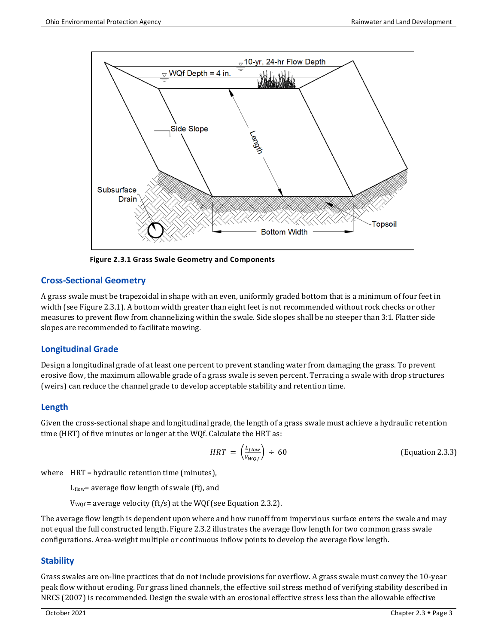

**Figure 2.3.1 Grass Swale Geometry and Components**

#### **Cross-Sectional Geometry**

A grass swale must be trapezoidal in shape with an even, uniformly graded bottom that is a minimum of four feet in width (see Figure 2.3.1). A bottom width greater than eight feet is not recommended without rock checks or other measures to prevent flow from channelizing within the swale. Side slopes shall be no steeper than 3:1. Flatter side slopes are recommended to facilitate mowing.

#### **Longitudinal Grade**

Design a longitudinal grade of at least one percent to prevent standing water from damaging the grass. To prevent erosive flow, the maximum allowable grade of a grass swale is seven percent. Terracing a swale with drop structures (weirs) can reduce the channel grade to develop acceptable stability and retention time.

#### **Length**

Given the cross-sectional shape and longitudinal grade, the length of a grass swale must achieve a hydraulic retention time (HRT) of five minutes or longer at the WQf. Calculate the HRT as:

$$
HRT = \left(\frac{L_{flow}}{V_{WQf}}\right) \div 60
$$
 (Equation 2.3.3)

where HRT = hydraulic retention time (minutes),

Lflow= average flow length of swale (ft), and

 $V_{WQf}$  = average velocity (ft/s) at the WQf (see Equation 2.3.2).

The average flow length is dependent upon where and how runoff from impervious surface enters the swale and may not equal the full constructed length. Figure 2.3.2 illustrates the average flow length for two common grass swale configurations. Area-weight multiple or continuous inflow points to develop the average flow length.

#### **Stability**

Grass swales are on-line practices that do not include provisions for overflow. A grass swale must convey the 10-year peak flow without eroding. For grass lined channels, the effective soil stress method of verifying stability described in NRCS (2007) is recommended. Design the swale with an erosional effective stress less than the allowable effective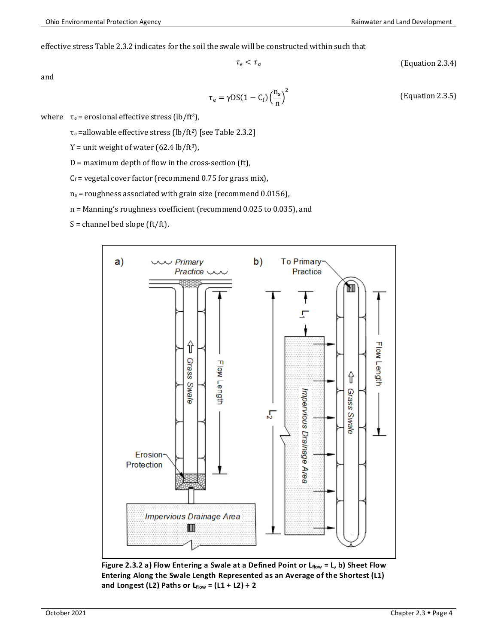effective stress Table 2.3.2 indicates for the soil the swale will be constructed within such that

 $\tau_e$ 

$$
\langle \tau_a \qquad \qquad \text{(Equation 2.3.4)}
$$

and

$$
\tau_e = \gamma DS(1 - C_f) \left(\frac{n_s}{n}\right)^2
$$
 (Equation 2.3.5)

where  $\tau_e$  = erosional effective stress (lb/ft<sup>2</sup>),

 $\tau_a$  =allowable effective stress (lb/ft<sup>2</sup>) [see Table 2.3.2]

 $Y =$  unit weight of water (62.4 lb/ft<sup>3</sup>),

 $D =$  maximum depth of flow in the cross-section (ft),

 $C_f$  = vegetal cover factor (recommend 0.75 for grass mix),

 $n_s$  = roughness associated with grain size (recommend 0.0156),

n = Manning's roughness coefficient (recommend 0.025 to 0.035), and

 $S =$ channel bed slope (ft/ft).



Figure 2.3.2 a) Flow Entering a Swale at a Defined Point or L<sub>flow</sub> = L, b) Sheet Flow **Entering Along the Swale Length Represented as an Average of the Shortest (L1) and Longest (L2) Paths or Lflow = (L1 + L2) ÷ 2**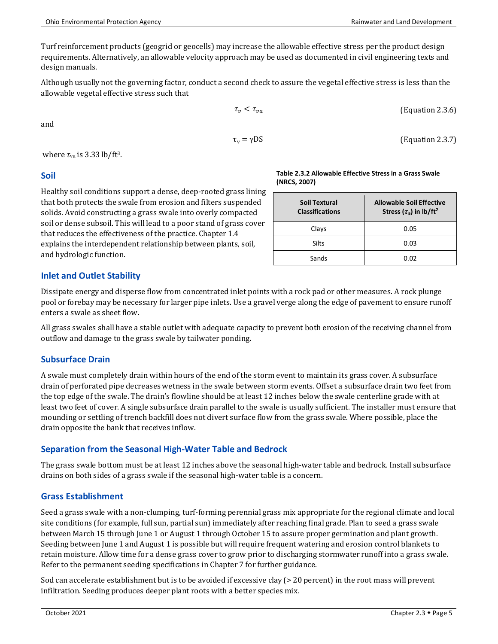(Equation 2.3.7)

Turf reinforcement products (geogrid or geocells) may increase the allowable effective stress per the product design requirements. Alternatively, an allowable velocity approach may be used as documented in civil engineering texts and design manuals.

Although usually not the governing factor, conduct a second check to assure the vegetal effective stress is less than the allowable vegetal effective stress such that

$$
\tau_{\nu} < \tau_{\nu a} \tag{Equation 2.3.6}
$$

and

$$
\gamma DS
$$

where  $\tau$ <sub>va</sub> is 3.33 lb/ft<sup>3</sup>.

#### **Soil**

Healthy soil conditions support a dense, deep-rooted grass lining that both protects the swale from erosion and filters suspended solids. Avoid constructing a grass swale into overly compacted soil or dense subsoil. This will lead to a poor stand of grass cover that reduces the effectiveness of the practice. Chapter 1.4 explains the interdependent relationship between plants, soil, and hydrologic function.

#### **Inlet and Outlet Stability**

Dissipate energy and disperse flow from concentrated inlet points with a rock pad or other measures. A rock plunge pool or forebay may be necessary for larger pipe inlets. Use a gravel verge along the edge of pavement to ensure runoff enters a swale as sheet flow.

All grass swales shall have a stable outlet with adequate capacity to prevent both erosion of the receiving channel from outflow and damage to the grass swale by tailwater ponding.

### **Subsurface Drain**

A swale must completely drain within hours of the end of the storm event to maintain its grass cover. A subsurface drain of perforated pipe decreases wetness in the swale between storm events. Offset a subsurface drain two feet from the top edge of the swale. The drain's flowline should be at least 12 inches below the swale centerline grade with at least two feet of cover. A single subsurface drain parallel to the swale is usually sufficient. The installer must ensure that mounding or settling of trench backfill does not divert surface flow from the grass swale. Where possible, place the drain opposite the bank that receives inflow.

### **Separation from the Seasonal High-Water Table and Bedrock**

The grass swale bottom must be at least 12 inches above the seasonal high-water table and bedrock. Install subsurface drains on both sides of a grass swale if the seasonal high-water table is a concern.

### **Grass Establishment**

Seed a grass swale with a non-clumping, turf-forming perennial grass mix appropriate for the regional climate and local site conditions (for example, full sun, partial sun) immediately after reaching final grade. Plan to seed a grass swale between March 15 through June 1 or August 1 through October 15 to assure proper germination and plant growth. Seeding between June 1 and August 1 is possible but will require frequent watering and erosion control blankets to retain moisture. Allow time for a dense grass cover to grow prior to discharging stormwater runoff into a grass swale. Refer to the permanent seeding specifications in Chapter 7 for further guidance.

Sod can accelerate establishment but is to be avoided if excessive clay (> 20 percent) in the root mass will prevent infiltration. Seeding produces deeper plant roots with a better species mix.

| (NRCS, 2007)                            |                                                                            |  |
|-----------------------------------------|----------------------------------------------------------------------------|--|
| Soil Textural<br><b>Classifications</b> | <b>Allowable Soil Effective</b><br>Stress $(\tau_a)$ in lb/ft <sup>2</sup> |  |
| Clays                                   | 0.05                                                                       |  |
| <b>Silts</b>                            | 0.03                                                                       |  |
|                                         |                                                                            |  |

Sands 1 0.02

**Table 2.3.2 Allowable Effective Stress in a Grass Swale** 

 $\tau_{\rm v}$  =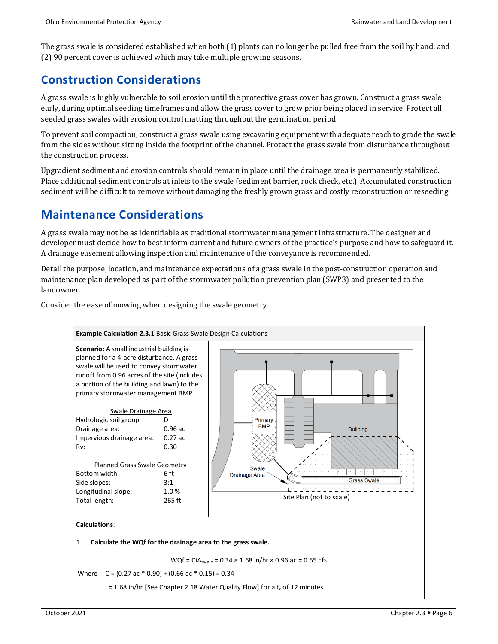The grass swale is considered established when both (1) plants can no longer be pulled free from the soil by hand; and (2) 90 percent cover is achieved which may take multiple growing seasons.

## **Construction Considerations**

A grass swale is highly vulnerable to soil erosion until the protective grass cover has grown. Construct a grass swale early, during optimal seeding timeframes and allow the grass cover to grow prior being placed in service. Protect all seeded grass swales with erosion control matting throughout the germination period.

To prevent soil compaction, construct a grass swale using excavating equipment with adequate reach to grade the swale from the sides without sitting inside the footprint of the channel. Protect the grass swale from disturbance throughout the construction process.

Upgradient sediment and erosion controls should remain in place until the drainage area is permanently stabilized. Place additional sediment controls at inlets to the swale (sediment barrier, rock check, etc.). Accumulated construction sediment will be difficult to remove without damaging the freshly grown grass and costly reconstruction or reseeding.

### **Maintenance Considerations**

A grass swale may not be as identifiable as traditional stormwater management infrastructure. The designer and developer must decide how to best inform current and future owners of the practice's purpose and how to safeguard it. A drainage easement allowing inspection and maintenance of the conveyance is recommended.

Detail the purpose, location, and maintenance expectations of a grass swale in the post-construction operation and maintenance plan developed as part of the stormwater pollution prevention plan (SWP3) and presented to the landowner.

Consider the ease of mowing when designing the swale geometry.



i = 1.68 in/hr [See Chapter 2.18 Water Quality Flow] for a  $t_c$  of 12 minutes.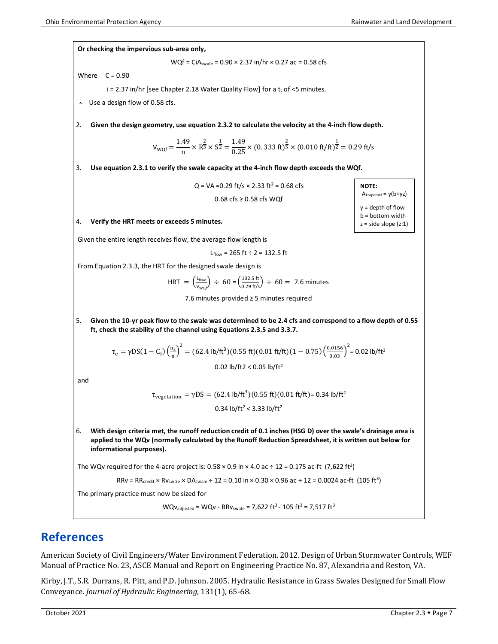**NOTE:**

 $A<sub>Trapezoid</sub> = v(b+vz)$  $y =$  depth of flow b = bottom width  $z = side slope (z:1)$ 

#### **Or checking the impervious sub-area only,**

WQf = CiA<sub>swale</sub> =  $0.90 \times 2.37$  in/hr  $\times$  0.27 ac = 0.58 cfs

Where  $C = 0.90$ 

 $i = 2.37$  in/hr [see Chapter 2.18 Water Quality Flow] for a  $t_c$  of <5 minutes.

؞ Use a design flow of 0.58 cfs.

2. **Given the design geometry, use equation 2.3.2 to calculate the velocity at the 4-inch flow depth.**

$$
V_{WQf} = \frac{1.49}{n} \times R^{\frac{2}{3}} \times S^{\frac{1}{2}} = \frac{1.49}{0.25} \times (0.333 \text{ ft})^{\frac{2}{3}} \times (0.010 \text{ ft/ft})^{\frac{1}{2}} = 0.29 \text{ ft/s}
$$

3. **Use equation 2.3.1 to verify the swale capacity at the 4-inch flow depth exceeds the WQf.**

 $Q = VA = 0.29$  ft/s  $\times$  2.33 ft<sup>2</sup> = 0.68 cfs 0.68 cfs ≥ 0.58 cfs WQf

#### 4. **Verify the HRT meets or exceeds 5 minutes.**

Given the entire length receives flow, the average flow length is

 $L_{flow}$  = 265 ft ÷ 2 = 132.5 ft

From Equation 2.3.3, the HRT for the designed swale design is

HRT = 
$$
\left(\frac{L_{flow}}{V_{WQf}}\right) \div 60 = \left(\frac{132.5 \text{ ft}}{0.29 \text{ ft/s}}\right) \div 60 = 7.6 \text{ minutes}
$$

7.6 minutes provided ≥ 5 minutes required

5. **Given the 10-yr peak flow to the swale was determined to be 2.4 cfs and correspond to a flow depth of 0.55 ft, check the stability of the channel using Equations 2.3.5 and 3.3.7.**

$$
\tau_e = \gamma DS(1 - C_f) \left(\frac{n_s}{n}\right)^2 = (62.4 \text{ lb/ft}^3)(0.55 \text{ ft})(0.01 \text{ ft/ft})(1 - 0.75) \left(\frac{0.0156}{0.03}\right)^2 = 0.02 \text{ lb/ft}^2
$$
  
0.02 lb/ft2 < 0.05 lb/ft<sup>2</sup>

and

$$
\tau_{vegetation} = \gamma DS = (62.4 \text{ lb/ft}^3)(0.55 \text{ ft})(0.01 \text{ ft/ft}) = 0.34 \text{ lb/ft}^2
$$
  
0.34 lb/ft<sup>2</sup> < 3.33 lb/ft<sup>2</sup>

6. **With design criteria met, the runoff reduction credit of 0.1 inches (HSG D) over the swale's drainage area is applied to the WQv (normally calculated by the Runoff Reduction Spreadsheet, it is written out below for informational purposes).**

The WQv required for the 4-acre project is:  $0.58 \times 0.9$  in  $\times$  4.0 ac  $\div$  12 = 0.175 ac-ft (7,622 ft<sup>3</sup>)

$$
RRv = RR_{\text{credit}} \times RV_{\text{swale}} \times DA_{\text{swale}} \div 12 = 0.10 \text{ in} \times 0.30 \times 0.96 \text{ ac} \div 12 = 0.0024 \text{ ac-fit} \ (105 \text{ ft}^3)
$$

The primary practice must now be sized for

 $WQv_{\text{adjusted}} = WQv - RRv_{\text{swale}} = 7,622 \text{ ft}^3 - 105 \text{ ft}^3 = 7,517 \text{ ft}^3$ 

### **References**

American Society of Civil Engineers/Water Environment Federation. 2012. Design of Urban Stormwater Controls, WEF Manual of Practice No. 23, ASCE Manual and Report on Engineering Practice No. 87, Alexandria and Reston, VA.

Kirby, J.T., S.R. Durrans, R. Pitt, and P.D. Johnson. 2005. Hydraulic Resistance in Grass Swales Designed for Small Flow Conveyance. *Journal of Hydraulic Engineering*, 131(1), 65-68.